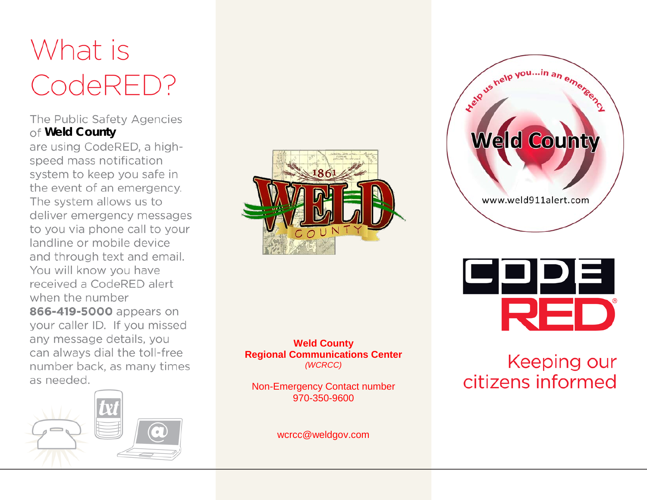# What is CodeRED?

# The Public Safety Agencies **Weld County**

are using CodeRED, a highspeed mass notification system to keep you safe in the event of an emergency. The system allows us to deliver emergency messages to you via phone call to your landline or mobile device and through text and email. You will know you have received a CodeRED alert when the number 866-419-5000 appears on your caller ID. If you missed any message details, you can always dial the toll-free number back, as many times as needed.





#### **Weld County Regional Communications Center** *(WCRCC)*

Non-Emergency Contact number 970-350-9600

wcrcc@weldgov.com





# **Keeping our** citizens informed